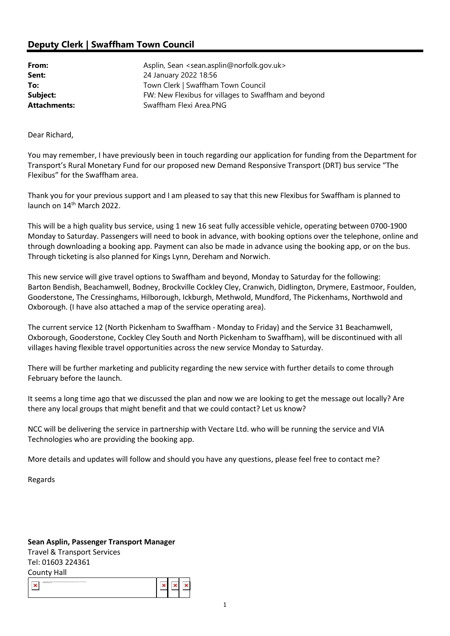## Deputy Clerk | Swaffham Town Council

| From:               | Asplin, Sean <sean.asplin@norfolk.gov.uk></sean.asplin@norfolk.gov.uk> |
|---------------------|------------------------------------------------------------------------|
| Sent:               | 24 January 2022 18:56                                                  |
| To:                 | Town Clerk   Swaffham Town Council                                     |
| Subject:            | FW: New Flexibus for villages to Swaffham and beyond                   |
| <b>Attachments:</b> | Swaffham Flexi Area.PNG                                                |

Dear Richard,

You may remember, I have previously been in touch regarding our application for funding from the Department for Transport's Rural Monetary Fund for our proposed new Demand Responsive Transport (DRT) bus service "The Flexibus" for the Swaffham area.

Thank you for your previous support and I am pleased to say that this new Flexibus for Swaffham is planned to launch on 14th March 2022.

This will be a high quality bus service, using 1 new 16 seat fully accessible vehicle, operating between 0700-1900 Monday to Saturday. Passengers will need to book in advance, with booking options over the telephone, online and through downloading a booking app. Payment can also be made in advance using the booking app, or on the bus. Through ticketing is also planned for Kings Lynn, Dereham and Norwich.

This new service will give travel options to Swaffham and beyond, Monday to Saturday for the following: Barton Bendish, Beachamwell, Bodney, Brockville Cockley Cley, Cranwich, Didlington, Drymere, Eastmoor, Foulden, Gooderstone, The Cressinghams, Hilborough, Ickburgh, Methwold, Mundford, The Pickenhams, Northwold and Oxborough. (I have also attached a map of the service operating area).

The current service 12 (North Pickenham to Swaffham - Monday to Friday) and the Service 31 Beachamwell, Oxborough, Gooderstone, Cockley Cley South and North Pickenham to Swaffham), will be discontinued with all villages having flexible travel opportunities across the new service Monday to Saturday.

There will be further marketing and publicity regarding the new service with further details to come through February before the launch.

It seems a long time ago that we discussed the plan and now we are looking to get the message out locally? Are there any local groups that might benefit and that we could contact? Let us know?

NCC will be delivering the service in partnership with Vectare Ltd. who will be running the service and VIA Technologies who are providing the booking app.

More details and updates will follow and should you have any questions, please feel free to contact me?

Regards

## Sean Asplin, Passenger Transport Manager

Travel & Transport Services Tel: 01603 224361 County Hall

| - - - - - -<br>Manual Office concerned automate descripant of this science from the Determination<br>metal Co. |  |  |  |
|----------------------------------------------------------------------------------------------------------------|--|--|--|
|----------------------------------------------------------------------------------------------------------------|--|--|--|